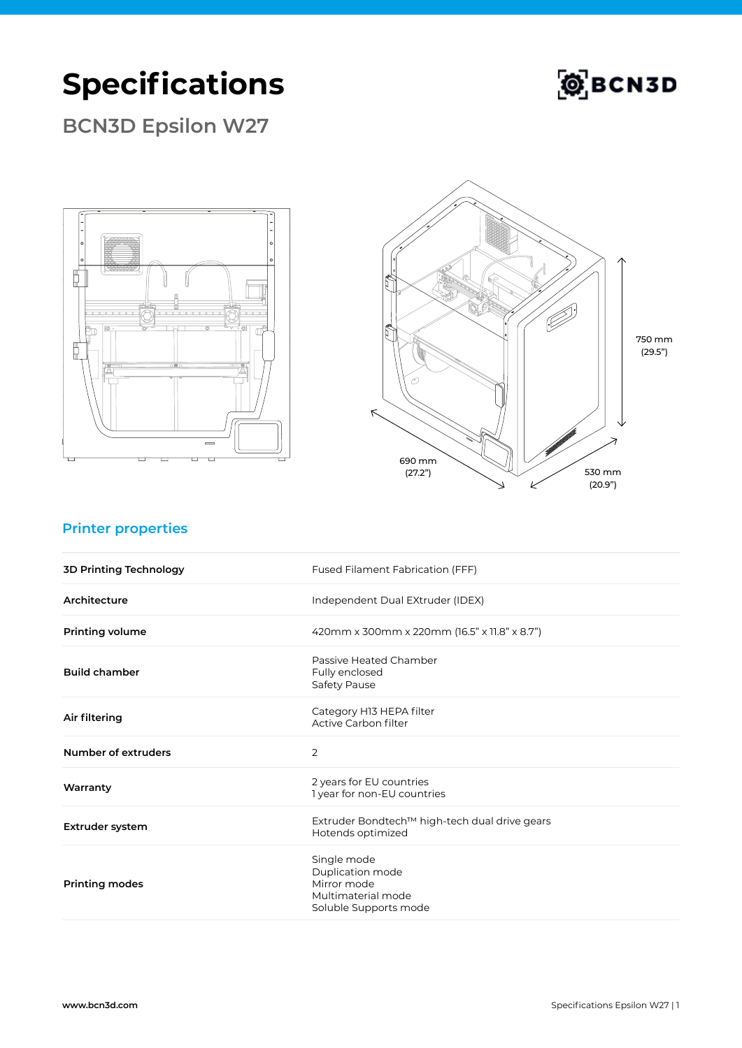## **Specifications**



**BCN3D Epsilon W27**





### **Printer properties**

| <b>3D Printing Technology</b> | Fused Filament Fabrication (FFF)                                                              |
|-------------------------------|-----------------------------------------------------------------------------------------------|
| Architecture                  | Independent Dual EXtruder (IDEX)                                                              |
| <b>Printing volume</b>        | 420mm x 300mm x 220mm (16.5" x 11.8" x 8.7")                                                  |
| <b>Build chamber</b>          | Passive Heated Chamber<br>Fully enclosed<br>Safety Pause                                      |
| Air filtering                 | Category H13 HEPA filter<br>Active Carbon filter                                              |
| Number of extruders           | $\overline{2}$                                                                                |
| Warranty                      | 2 years for EU countries<br>1 year for non-EU countries                                       |
| Extruder system               | Extruder Bondtech™ high-tech dual drive gears<br>Hotends optimized                            |
| <b>Printing modes</b>         | Single mode<br>Duplication mode<br>Mirror mode<br>Multimaterial mode<br>Soluble Supports mode |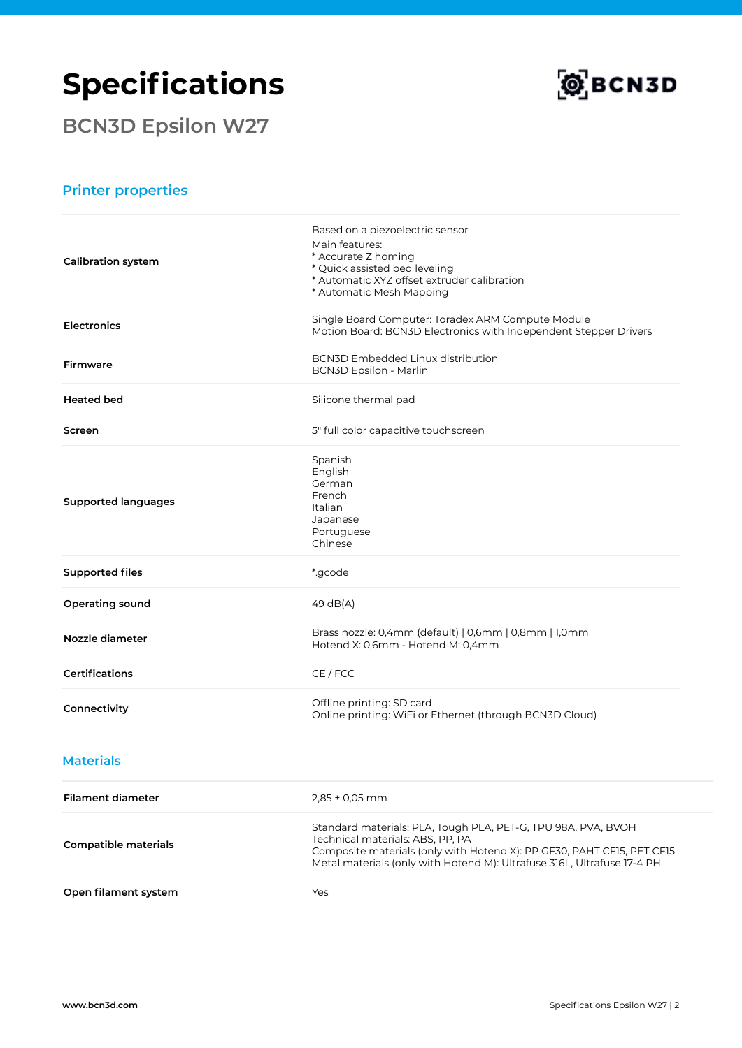# **Specifications**

**BCN3D Epsilon W27**



#### **Printer properties**

| <b>Calibration system</b>   | Based on a piezoelectric sensor<br>Main features:<br>* Accurate Z homing<br>* Quick assisted bed leveling<br>* Automatic XYZ offset extruder calibration<br>* Automatic Mesh Mapping                                                                   |
|-----------------------------|--------------------------------------------------------------------------------------------------------------------------------------------------------------------------------------------------------------------------------------------------------|
| <b>Electronics</b>          | Single Board Computer: Toradex ARM Compute Module<br>Motion Board: BCN3D Electronics with Independent Stepper Drivers                                                                                                                                  |
| Firmware                    | <b>BCN3D Embedded Linux distribution</b><br><b>BCN3D Epsilon - Marlin</b>                                                                                                                                                                              |
| <b>Heated bed</b>           | Silicone thermal pad                                                                                                                                                                                                                                   |
| Screen                      | 5" full color capacitive touchscreen                                                                                                                                                                                                                   |
| <b>Supported languages</b>  | Spanish<br>English<br>German<br>French<br>Italian<br>Japanese<br>Portuguese<br>Chinese                                                                                                                                                                 |
| <b>Supported files</b>      | *.gcode                                                                                                                                                                                                                                                |
| Operating sound             | 49 dB(A)                                                                                                                                                                                                                                               |
| Nozzle diameter             | Brass nozzle: 0,4mm (default)   0,6mm   0,8mm   1,0mm<br>Hotend X: 0,6mm - Hotend M: 0,4mm                                                                                                                                                             |
| <b>Certifications</b>       | CE / FCC                                                                                                                                                                                                                                               |
| Connectivity                | Offline printing: SD card<br>Online printing: WiFi or Ethernet (through BCN3D Cloud)                                                                                                                                                                   |
| <b>Materials</b>            |                                                                                                                                                                                                                                                        |
| <b>Filament diameter</b>    | $2,85 \pm 0,05$ mm                                                                                                                                                                                                                                     |
| <b>Compatible materials</b> | Standard materials: PLA, Tough PLA, PET-G, TPU 98A, PVA, BVOH<br>Technical materials: ABS, PP, PA<br>Composite materials (only with Hotend X): PP GF30, PAHT CF15, PET CF15<br>Metal materials (only with Hotend M): Ultrafuse 316L, Ultrafuse 17-4 PH |
| Open filament system        | Yes                                                                                                                                                                                                                                                    |